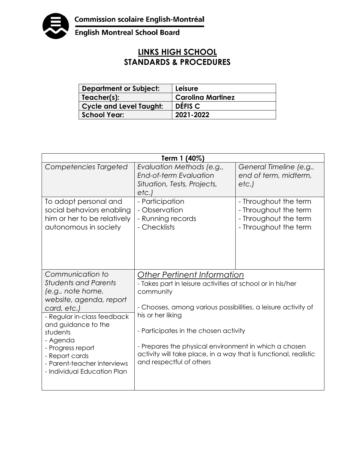

English Montreal School Board

## **LINKS HIGH SCHOOL STANDARDS & PROCEDURES**

| <b>Department or Subject:</b>  | Leisure                  |
|--------------------------------|--------------------------|
| Teacher(s):                    | <b>Carolina Martinez</b> |
| <b>Cycle and Level Taught:</b> | DÉFIS C                  |
| <b>School Year:</b>            | 2021-2022                |

| Term 1 (40%)                                                                                                                                                                                                                                                                                      |                                                                                                                                                                                                                                                                                                                                                                                                        |                                                                                                  |  |
|---------------------------------------------------------------------------------------------------------------------------------------------------------------------------------------------------------------------------------------------------------------------------------------------------|--------------------------------------------------------------------------------------------------------------------------------------------------------------------------------------------------------------------------------------------------------------------------------------------------------------------------------------------------------------------------------------------------------|--------------------------------------------------------------------------------------------------|--|
| Competencies Targeted                                                                                                                                                                                                                                                                             | Evaluation Methods (e.g.,<br>End-of-term Evaluation<br>Situation, Tests, Projects,<br>etc.)                                                                                                                                                                                                                                                                                                            | General Timeline (e.g.,<br>end of term, midterm,<br>etc.                                         |  |
| To adopt personal and<br>social behaviors enabling<br>him or her to be relatively<br>autonomous in society                                                                                                                                                                                        | - Participation<br>- Observation<br>- Running records<br>- Checklists                                                                                                                                                                                                                                                                                                                                  | - Throughout the term<br>- Throughout the term<br>- Throughout the term<br>- Throughout the term |  |
| Communication to<br><b>Students and Parents</b><br>(e.g., note home,<br>website, agenda, report<br>card, etc.)<br>- Regular in-class feedback<br>and guidance to the<br>students<br>- Agenda<br>- Progress report<br>- Report cards<br>- Parent-teacher interviews<br>- Individual Education Plan | <u> Other Pertinent Information</u><br>- Takes part in leisure activities at school or in his/her<br>community<br>- Chooses, among various possibilities, a leisure activity of<br>his or her liking<br>- Participates in the chosen activity<br>- Prepares the physical environment in which a chosen<br>activity will take place, in a way that is functional, realistic<br>and respectful of others |                                                                                                  |  |